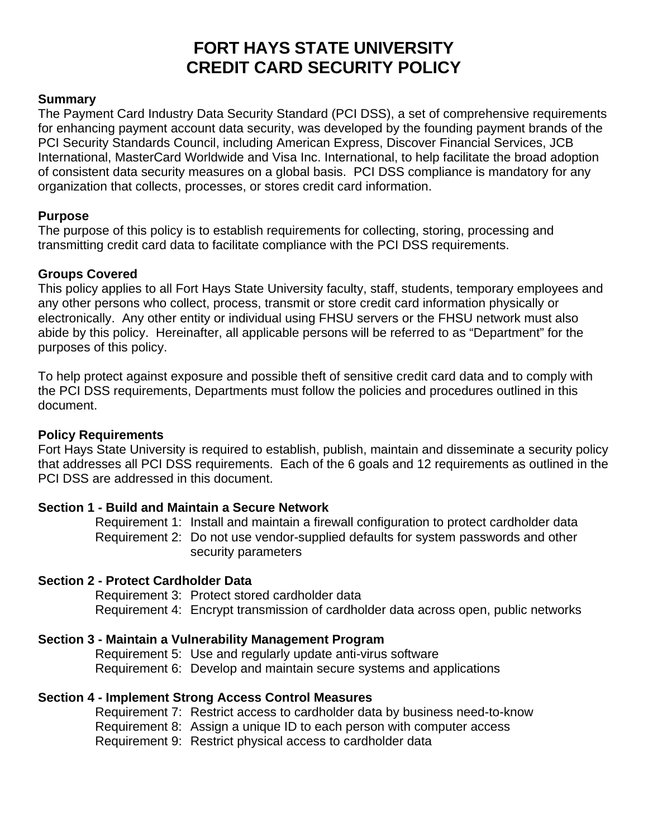# **FORT HAYS STATE UNIVERSITY CREDIT CARD SECURITY POLICY**

#### **Summary**

The Payment Card Industry Data Security Standard (PCI DSS), a set of comprehensive requirements for enhancing payment account data security, was developed by the founding payment brands of the PCI Security Standards Council, including American Express, Discover Financial Services, JCB International, MasterCard Worldwide and Visa Inc. International, to help facilitate the broad adoption of consistent data security measures on a global basis. PCI DSS compliance is mandatory for any organization that collects, processes, or stores credit card information.

#### **Purpose**

The purpose of this policy is to establish requirements for collecting, storing, processing and transmitting credit card data to facilitate compliance with the PCI DSS requirements.

#### **Groups Covered**

This policy applies to all Fort Hays State University faculty, staff, students, temporary employees and any other persons who collect, process, transmit or store credit card information physically or electronically. Any other entity or individual using FHSU servers or the FHSU network must also abide by this policy. Hereinafter, all applicable persons will be referred to as "Department" for the purposes of this policy.

To help protect against exposure and possible theft of sensitive credit card data and to comply with the PCI DSS requirements, Departments must follow the policies and procedures outlined in this document.

#### **Policy Requirements**

Fort Hays State University is required to establish, publish, maintain and disseminate a security policy that addresses all PCI DSS requirements. Each of the 6 goals and 12 requirements as outlined in the PCI DSS are addressed in this document.

#### **Section 1 - Build and Maintain a Secure Network**

Requirement 1: Install and maintain a firewall configuration to protect cardholder data Requirement 2: Do not use vendor-supplied defaults for system passwords and other security parameters

#### **Section 2 - Protect Cardholder Data**

Requirement 3: Protect stored cardholder data Requirement 4: Encrypt transmission of cardholder data across open, public networks

#### **Section 3 - Maintain a Vulnerability Management Program**

Requirement 5: Use and regularly update anti-virus software Requirement 6: Develop and maintain secure systems and applications

#### **Section 4 - Implement Strong Access Control Measures**

Requirement 7: Restrict access to cardholder data by business need-to-know Requirement 8: Assign a unique ID to each person with computer access Requirement 9: Restrict physical access to cardholder data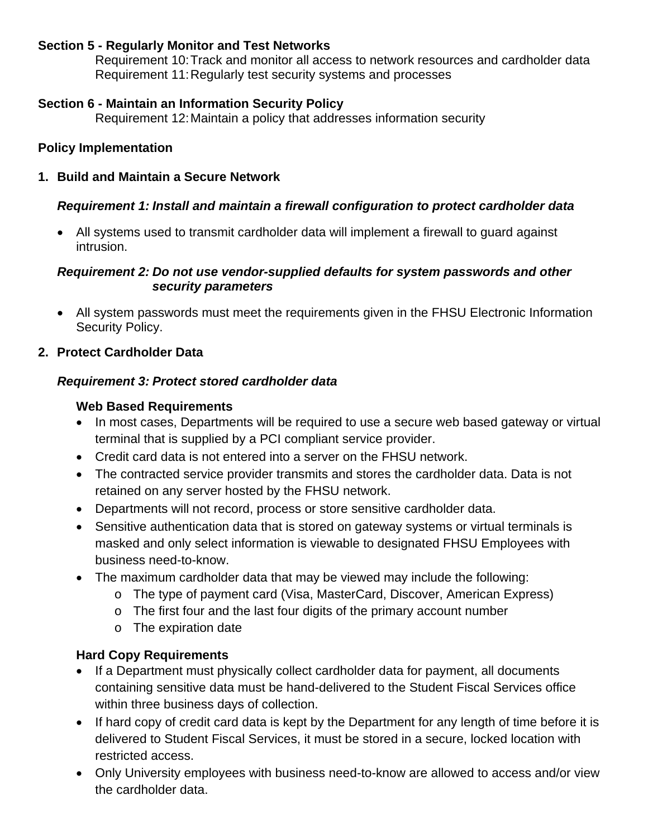## **Section 5 - Regularly Monitor and Test Networks**

Requirement 10: Track and monitor all access to network resources and cardholder data Requirement 11: Regularly test security systems and processes

## **Section 6 - Maintain an Information Security Policy**

Requirement 12: Maintain a policy that addresses information security

## **Policy Implementation**

**1. Build and Maintain a Secure Network** 

## *Requirement 1: Install and maintain a firewall configuration to protect cardholder data*

 All systems used to transmit cardholder data will implement a firewall to guard against intrusion.

#### *Requirement 2: Do not use vendor-supplied defaults for system passwords and other security parameters*

 All system passwords must meet the requirements given in the FHSU Electronic Information Security Policy.

## **2. Protect Cardholder Data**

#### *Requirement 3: Protect stored cardholder data*

## **Web Based Requirements**

- In most cases, Departments will be required to use a secure web based gateway or virtual terminal that is supplied by a PCI compliant service provider.
- Credit card data is not entered into a server on the FHSU network.
- The contracted service provider transmits and stores the cardholder data. Data is not retained on any server hosted by the FHSU network.
- Departments will not record, process or store sensitive cardholder data.
- Sensitive authentication data that is stored on gateway systems or virtual terminals is masked and only select information is viewable to designated FHSU Employees with business need-to-know.
- The maximum cardholder data that may be viewed may include the following:
	- o The type of payment card (Visa, MasterCard, Discover, American Express)
	- o The first four and the last four digits of the primary account number
	- o The expiration date

# **Hard Copy Requirements**

- If a Department must physically collect cardholder data for payment, all documents containing sensitive data must be hand-delivered to the Student Fiscal Services office within three business days of collection.
- If hard copy of credit card data is kept by the Department for any length of time before it is delivered to Student Fiscal Services, it must be stored in a secure, locked location with restricted access.
- Only University employees with business need-to-know are allowed to access and/or view the cardholder data.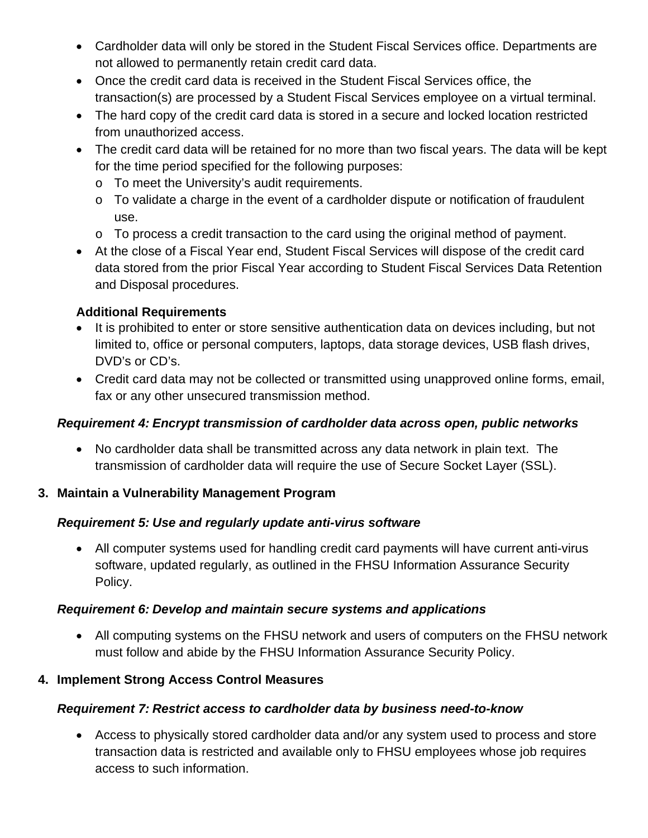- Cardholder data will only be stored in the Student Fiscal Services office. Departments are not allowed to permanently retain credit card data.
- Once the credit card data is received in the Student Fiscal Services office, the transaction(s) are processed by a Student Fiscal Services employee on a virtual terminal.
- The hard copy of the credit card data is stored in a secure and locked location restricted from unauthorized access.
- The credit card data will be retained for no more than two fiscal years. The data will be kept for the time period specified for the following purposes:
	- o To meet the University's audit requirements.
	- o To validate a charge in the event of a cardholder dispute or notification of fraudulent use.
	- o To process a credit transaction to the card using the original method of payment.
- At the close of a Fiscal Year end, Student Fiscal Services will dispose of the credit card data stored from the prior Fiscal Year according to Student Fiscal Services Data Retention and Disposal procedures.

## **Additional Requirements**

- It is prohibited to enter or store sensitive authentication data on devices including, but not limited to, office or personal computers, laptops, data storage devices, USB flash drives, DVD's or CD's.
- Credit card data may not be collected or transmitted using unapproved online forms, email, fax or any other unsecured transmission method.

#### *Requirement 4: Encrypt transmission of cardholder data across open, public networks*

 No cardholder data shall be transmitted across any data network in plain text. The transmission of cardholder data will require the use of Secure Socket Layer (SSL).

#### **3. Maintain a Vulnerability Management Program**

#### *Requirement 5: Use and regularly update anti-virus software*

 All computer systems used for handling credit card payments will have current anti-virus software, updated regularly, as outlined in the FHSU Information Assurance Security Policy.

#### *Requirement 6: Develop and maintain secure systems and applications*

 All computing systems on the FHSU network and users of computers on the FHSU network must follow and abide by the FHSU Information Assurance Security Policy.

#### **4. Implement Strong Access Control Measures**

# *Requirement 7: Restrict access to cardholder data by business need-to-know*

 Access to physically stored cardholder data and/or any system used to process and store transaction data is restricted and available only to FHSU employees whose job requires access to such information.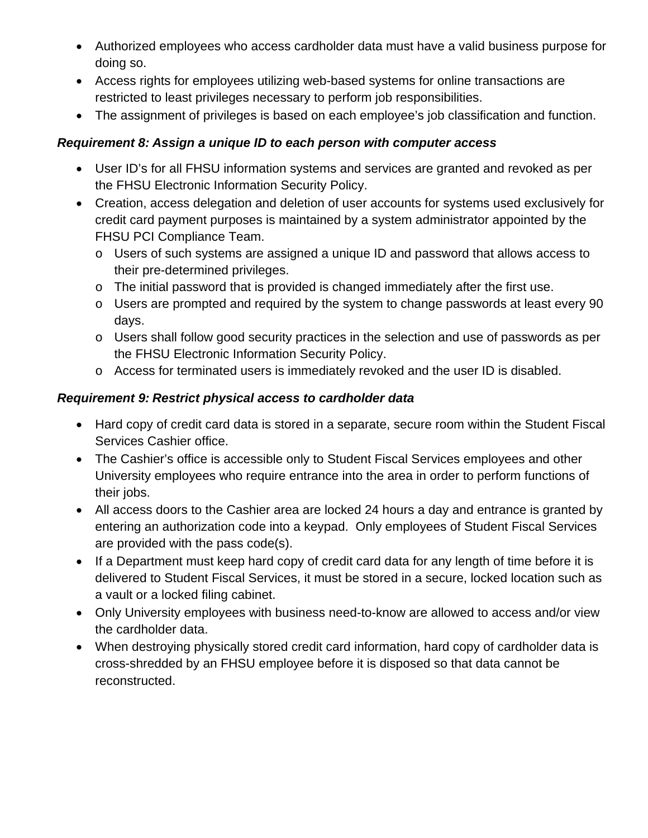- Authorized employees who access cardholder data must have a valid business purpose for doing so.
- Access rights for employees utilizing web-based systems for online transactions are restricted to least privileges necessary to perform job responsibilities.
- The assignment of privileges is based on each employee's job classification and function.

# *Requirement 8: Assign a unique ID to each person with computer access*

- User ID's for all FHSU information systems and services are granted and revoked as per the FHSU Electronic Information Security Policy.
- Creation, access delegation and deletion of user accounts for systems used exclusively for credit card payment purposes is maintained by a system administrator appointed by the FHSU PCI Compliance Team.
	- o Users of such systems are assigned a unique ID and password that allows access to their pre-determined privileges.
	- o The initial password that is provided is changed immediately after the first use.
	- o Users are prompted and required by the system to change passwords at least every 90 days.
	- o Users shall follow good security practices in the selection and use of passwords as per the FHSU Electronic Information Security Policy.
	- $\circ$  Access for terminated users is immediately revoked and the user ID is disabled.

# *Requirement 9: Restrict physical access to cardholder data*

- Hard copy of credit card data is stored in a separate, secure room within the Student Fiscal Services Cashier office.
- The Cashier's office is accessible only to Student Fiscal Services employees and other University employees who require entrance into the area in order to perform functions of their jobs.
- All access doors to the Cashier area are locked 24 hours a day and entrance is granted by entering an authorization code into a keypad. Only employees of Student Fiscal Services are provided with the pass code(s).
- If a Department must keep hard copy of credit card data for any length of time before it is delivered to Student Fiscal Services, it must be stored in a secure, locked location such as a vault or a locked filing cabinet.
- Only University employees with business need-to-know are allowed to access and/or view the cardholder data.
- When destroying physically stored credit card information, hard copy of cardholder data is cross-shredded by an FHSU employee before it is disposed so that data cannot be reconstructed.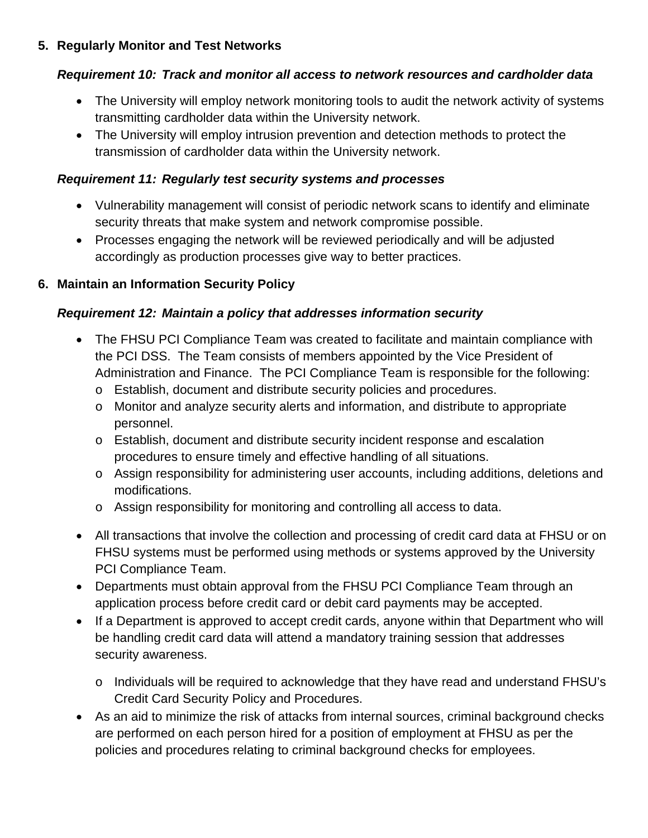# **5. Regularly Monitor and Test Networks**

## *Requirement 10: Track and monitor all access to network resources and cardholder data*

- The University will employ network monitoring tools to audit the network activity of systems transmitting cardholder data within the University network.
- The University will employ intrusion prevention and detection methods to protect the transmission of cardholder data within the University network.

## *Requirement 11: Regularly test security systems and processes*

- Vulnerability management will consist of periodic network scans to identify and eliminate security threats that make system and network compromise possible.
- Processes engaging the network will be reviewed periodically and will be adjusted accordingly as production processes give way to better practices.

# **6. Maintain an Information Security Policy**

## *Requirement 12: Maintain a policy that addresses information security*

- The FHSU PCI Compliance Team was created to facilitate and maintain compliance with the PCI DSS. The Team consists of members appointed by the Vice President of Administration and Finance. The PCI Compliance Team is responsible for the following:
	- o Establish, document and distribute security policies and procedures.
	- o Monitor and analyze security alerts and information, and distribute to appropriate personnel.
	- o Establish, document and distribute security incident response and escalation procedures to ensure timely and effective handling of all situations.
	- o Assign responsibility for administering user accounts, including additions, deletions and modifications.
	- o Assign responsibility for monitoring and controlling all access to data.
- All transactions that involve the collection and processing of credit card data at FHSU or on FHSU systems must be performed using methods or systems approved by the University PCI Compliance Team.
- Departments must obtain approval from the FHSU PCI Compliance Team through an application process before credit card or debit card payments may be accepted.
- If a Department is approved to accept credit cards, anyone within that Department who will be handling credit card data will attend a mandatory training session that addresses security awareness.
	- o Individuals will be required to acknowledge that they have read and understand FHSU's Credit Card Security Policy and Procedures.
- As an aid to minimize the risk of attacks from internal sources, criminal background checks are performed on each person hired for a position of employment at FHSU as per the policies and procedures relating to criminal background checks for employees.